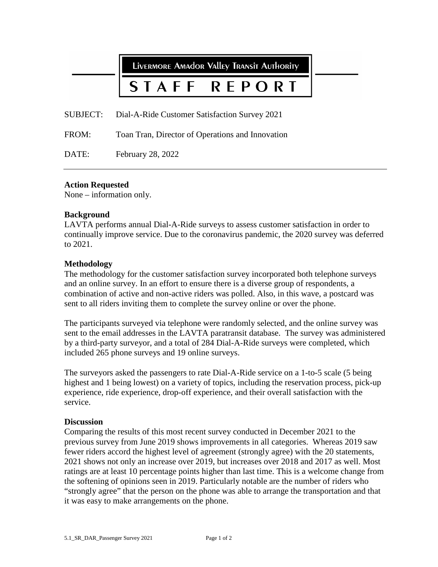**LIVERMORE AMADOR VALLEY TRANSIT AUTHORITY** 

#### STAFF P O R T R F.

SUBJECT: Dial-A-Ride Customer Satisfaction Survey 2021

FROM: Toan Tran, Director of Operations and Innovation

DATE: February 28, 2022

#### **Action Requested**

None – information only.

#### **Background**

LAVTA performs annual Dial-A-Ride surveys to assess customer satisfaction in order to continually improve service. Due to the coronavirus pandemic, the 2020 survey was deferred to 2021.

#### **Methodology**

The methodology for the customer satisfaction survey incorporated both telephone surveys and an online survey. In an effort to ensure there is a diverse group of respondents, a combination of active and non-active riders was polled. Also, in this wave, a postcard was sent to all riders inviting them to complete the survey online or over the phone.

The participants surveyed via telephone were randomly selected, and the online survey was sent to the email addresses in the LAVTA paratransit database. The survey was administered by a third-party surveyor, and a total of 284 Dial-A-Ride surveys were completed, which included 265 phone surveys and 19 online surveys.

The surveyors asked the passengers to rate Dial-A-Ride service on a 1-to-5 scale (5 being highest and 1 being lowest) on a variety of topics, including the reservation process, pick-up experience, ride experience, drop-off experience, and their overall satisfaction with the service.

#### **Discussion**

Comparing the results of this most recent survey conducted in December 2021 to the previous survey from June 2019 shows improvements in all categories. Whereas 2019 saw fewer riders accord the highest level of agreement (strongly agree) with the 20 statements, 2021 shows not only an increase over 2019, but increases over 2018 and 2017 as well. Most ratings are at least 10 percentage points higher than last time. This is a welcome change from the softening of opinions seen in 2019. Particularly notable are the number of riders who "strongly agree" that the person on the phone was able to arrange the transportation and that it was easy to make arrangements on the phone.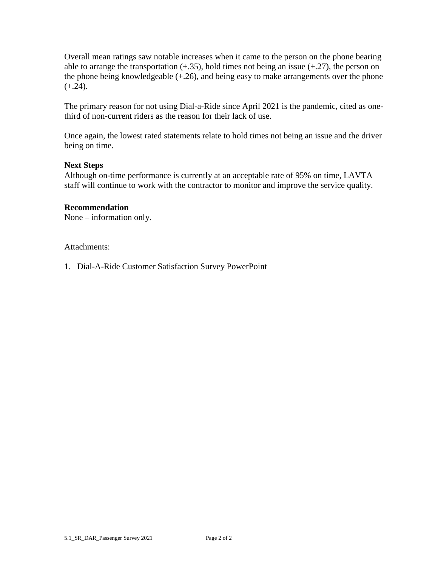Overall mean ratings saw notable increases when it came to the person on the phone bearing able to arrange the transportation  $(+.35)$ , hold times not being an issue  $(+.27)$ , the person on the phone being knowledgeable (+.26), and being easy to make arrangements over the phone  $(+.24)$ .

The primary reason for not using Dial-a-Ride since April 2021 is the pandemic, cited as onethird of non-current riders as the reason for their lack of use.

Once again, the lowest rated statements relate to hold times not being an issue and the driver being on time.

#### **Next Steps**

Although on-time performance is currently at an acceptable rate of 95% on time, LAVTA staff will continue to work with the contractor to monitor and improve the service quality.

#### **Recommendation**

None – information only.

Attachments:

1. Dial-A-Ride Customer Satisfaction Survey PowerPoint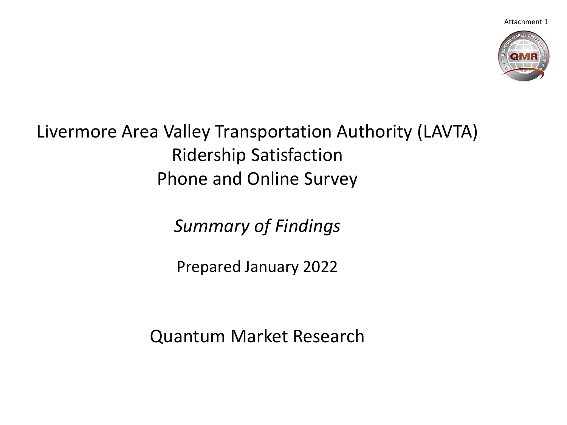Attachment 1



#### Livermore Area Valley Transportation Authority (LAVTA) Ridership Satisfaction Phone and Online Survey

*Summary of Findings*

Prepared January 2022

Quantum Market Research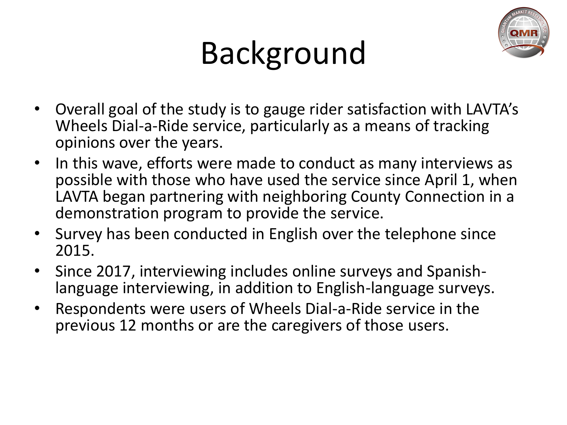

# Background

- Overall goal of the study is to gauge rider satisfaction with LAVTA's Wheels Dial-a-Ride service, particularly as a means of tracking opinions over the years.
- In this wave, efforts were made to conduct as many interviews as possible with those who have used the service since April 1, when LAVTA began partnering with neighboring County Connection in a demonstration program to provide the service.
- Survey has been conducted in English over the telephone since 2015.
- Since 2017, interviewing includes online surveys and Spanishlanguage interviewing, in addition to English-language surveys.
- Respondents were users of Wheels Dial-a-Ride service in the previous 12 months or are the caregivers of those users.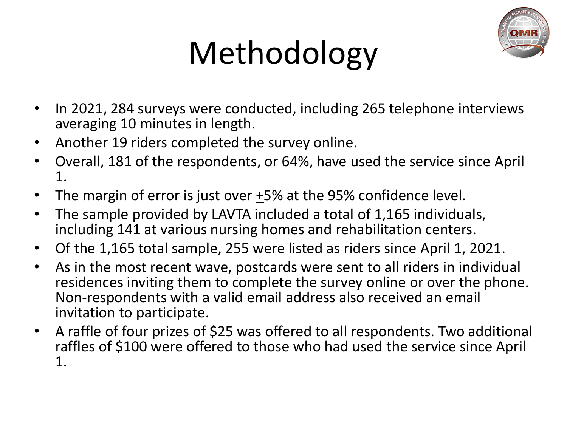

# Methodology

- In 2021, 284 surveys were conducted, including 265 telephone interviews averaging 10 minutes in length.
- Another 19 riders completed the survey online.
- Overall, 181 of the respondents, or 64%, have used the service since April 1.
- The margin of error is just over  $\pm$ 5% at the 95% confidence level.
- The sample provided by LAVTA included a total of 1,165 individuals, including 141 at various nursing homes and rehabilitation centers.
- Of the 1,165 total sample, 255 were listed as riders since April 1, 2021.
- As in the most recent wave, postcards were sent to all riders in individual residences inviting them to complete the survey online or over the phone. Non-respondents with a valid email address also received an email invitation to participate.
- A raffle of four prizes of \$25 was offered to all respondents. Two additional raffles of \$100 were offered to those who had used the service since April 1.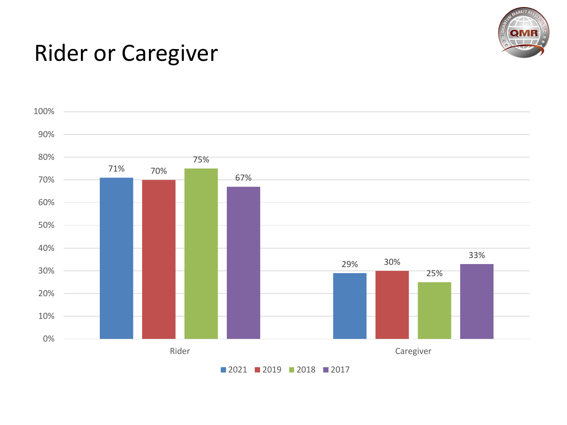

### Rider or Caregiver

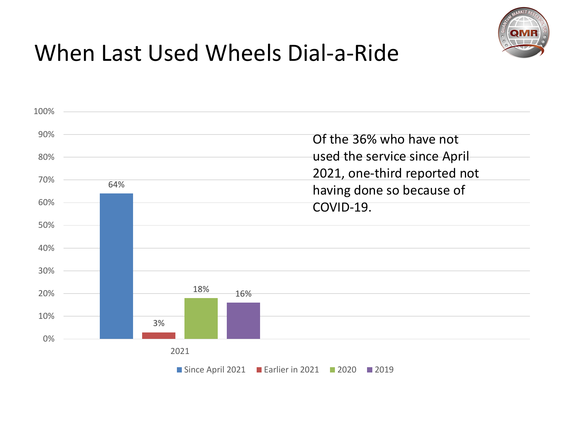

# When Last Used Wheels Dial-a-Ride

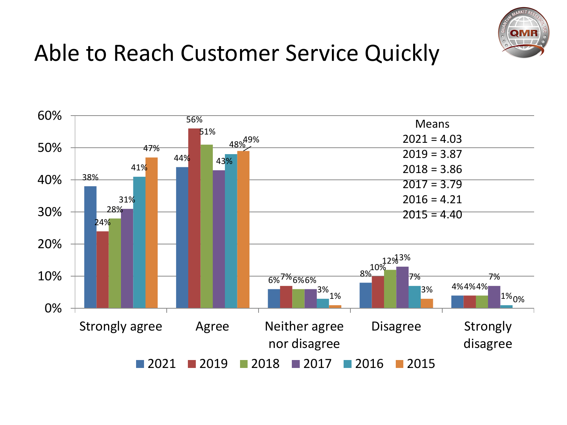

## Able to Reach Customer Service Quickly

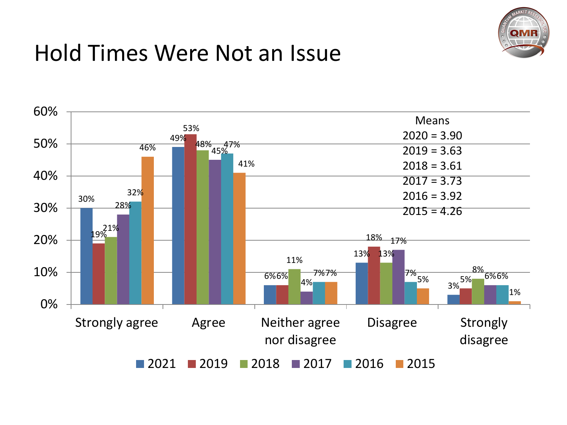

### Hold Times Were Not an Issue

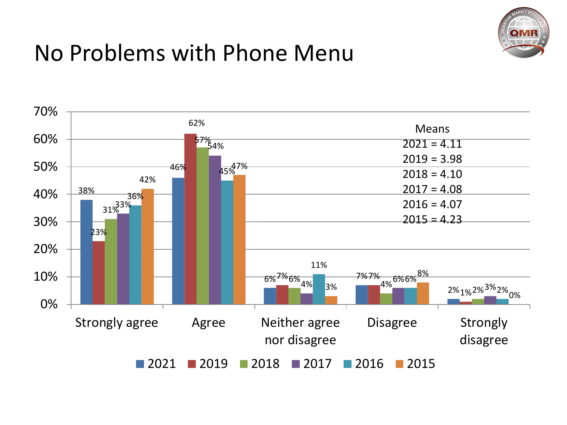

### No Problems with Phone Menu

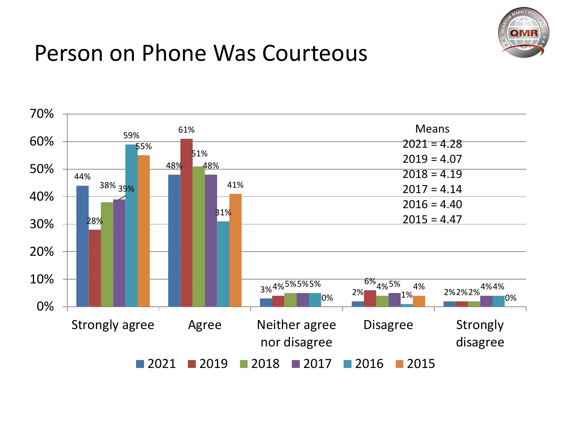

#### Person on Phone Was Courteous

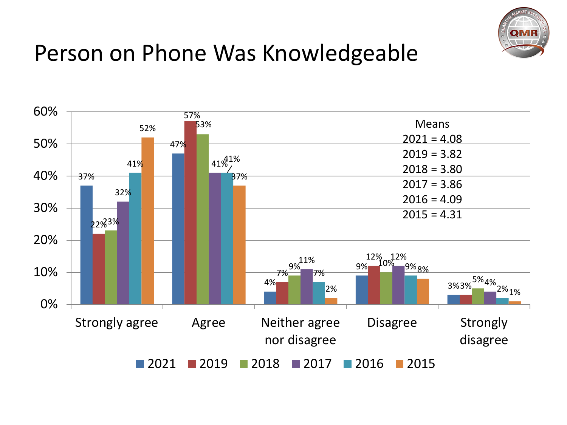

### Person on Phone Was Knowledgeable

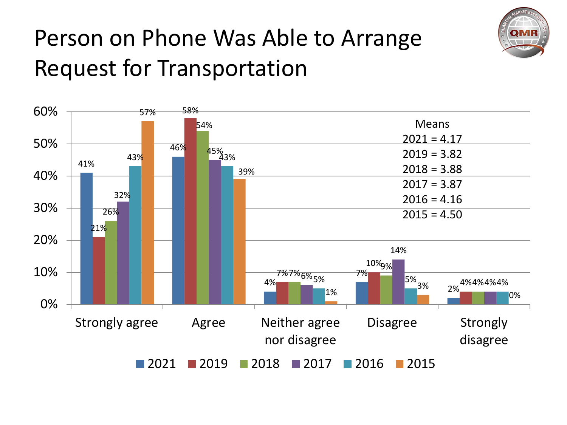

# Person on Phone Was Able to Arrange Request for Transportation

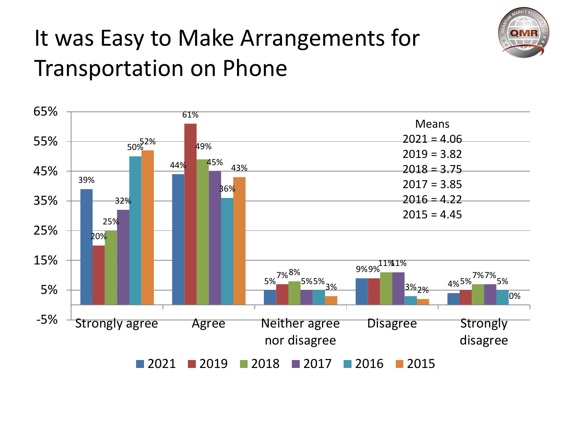

# It was Easy to Make Arrangements for Transportation on Phone

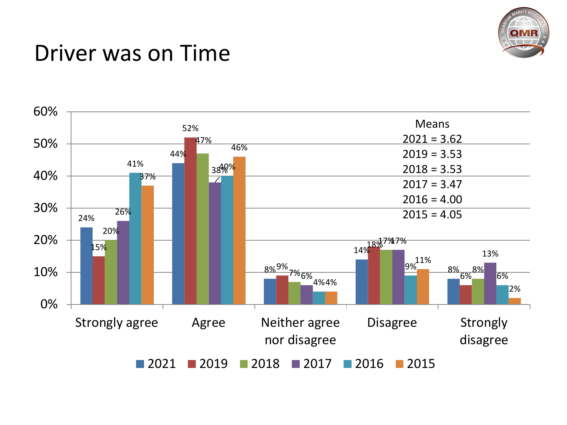

#### Driver was on Time

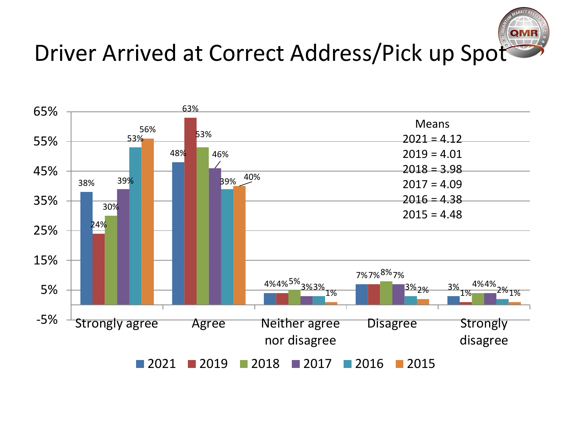

## Driver Arrived at Correct Address/Pick up Spot

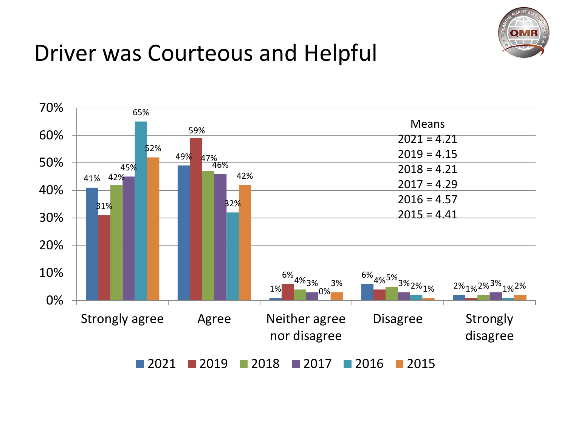

## Driver was Courteous and Helpful

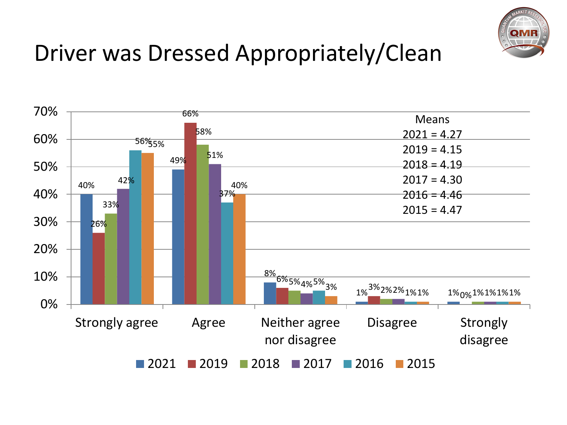

## Driver was Dressed Appropriately/Clean

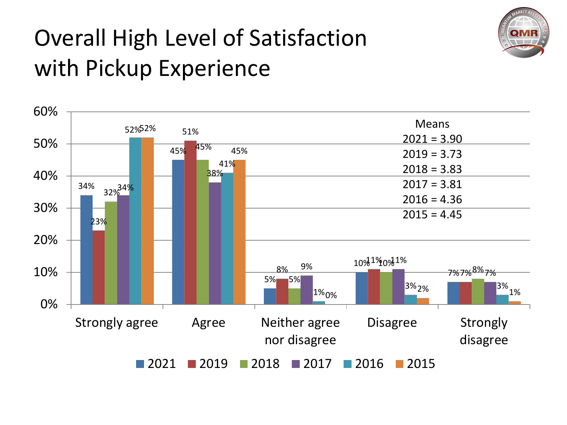

# Overall High Level of Satisfaction with Pickup Experience

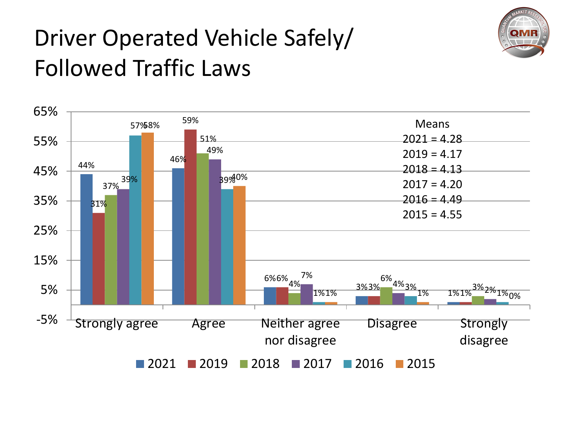

# Driver Operated Vehicle Safely/ Followed Traffic Laws

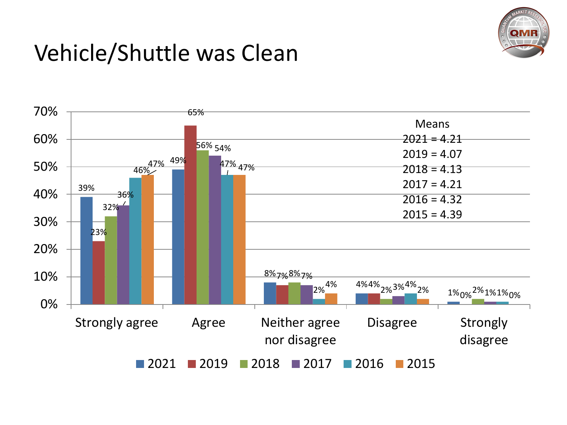

### Vehicle/Shuttle was Clean

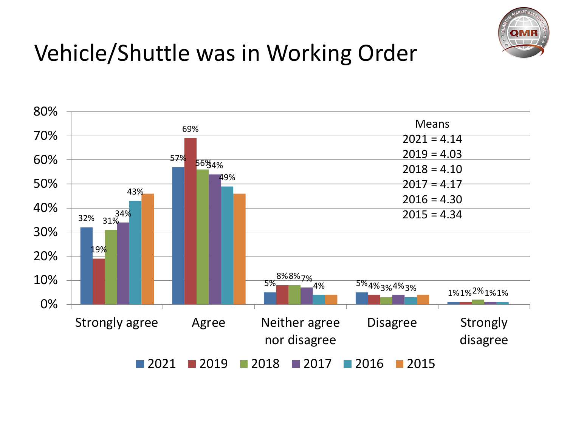

# Vehicle/Shuttle was in Working Order

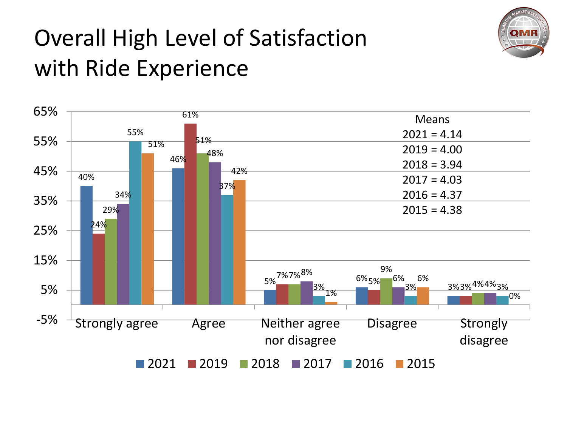

# Overall High Level of Satisfaction with Ride Experience

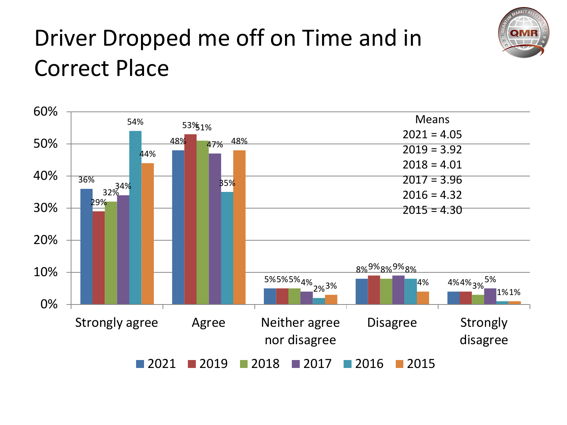

# Driver Dropped me off on Time and in Correct Place

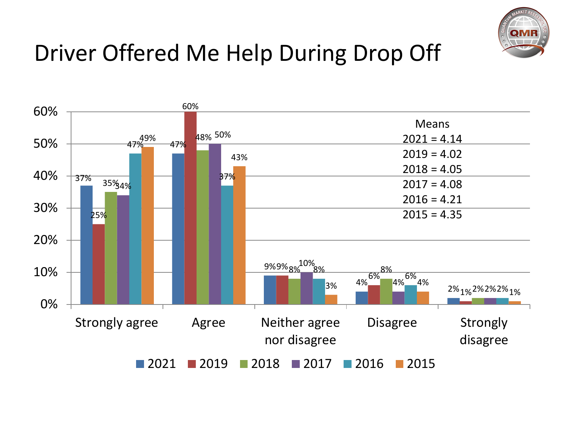

## Driver Offered Me Help During Drop Off

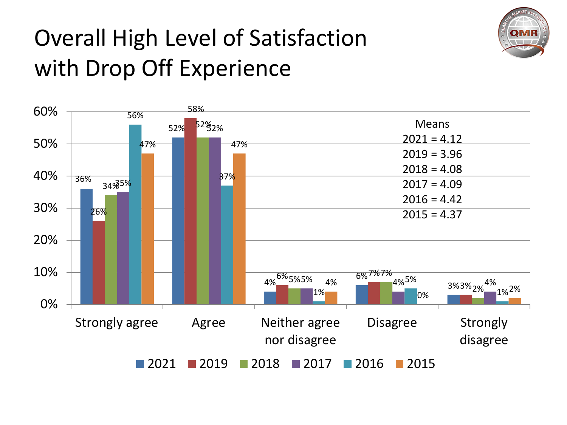

# Overall High Level of Satisfaction with Drop Off Experience

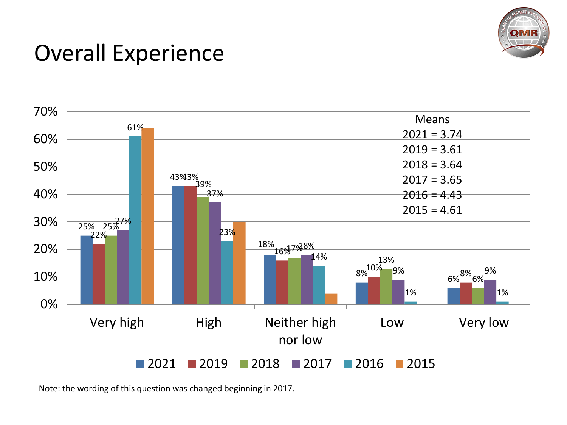

### Overall Experience



Note: the wording of this question was changed beginning in 2017.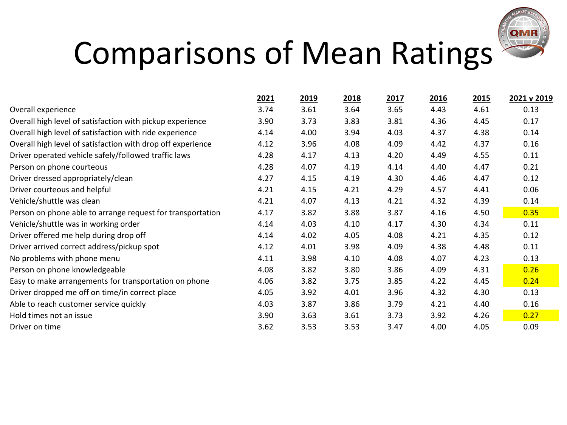

# Comparisons of Mean Ratings

|                                                             | 2021 | 2019 | 2018 | 2017 | 2016 | 2015 | 2021 v 2019 |
|-------------------------------------------------------------|------|------|------|------|------|------|-------------|
| Overall experience                                          | 3.74 | 3.61 | 3.64 | 3.65 | 4.43 | 4.61 | 0.13        |
| Overall high level of satisfaction with pickup experience   | 3.90 | 3.73 | 3.83 | 3.81 | 4.36 | 4.45 | 0.17        |
| Overall high level of satisfaction with ride experience     | 4.14 | 4.00 | 3.94 | 4.03 | 4.37 | 4.38 | 0.14        |
| Overall high level of satisfaction with drop off experience | 4.12 | 3.96 | 4.08 | 4.09 | 4.42 | 4.37 | 0.16        |
| Driver operated vehicle safely/followed traffic laws        | 4.28 | 4.17 | 4.13 | 4.20 | 4.49 | 4.55 | 0.11        |
| Person on phone courteous                                   | 4.28 | 4.07 | 4.19 | 4.14 | 4.40 | 4.47 | 0.21        |
| Driver dressed appropriately/clean                          | 4.27 | 4.15 | 4.19 | 4.30 | 4.46 | 4.47 | 0.12        |
| Driver courteous and helpful                                | 4.21 | 4.15 | 4.21 | 4.29 | 4.57 | 4.41 | 0.06        |
| Vehicle/shuttle was clean                                   | 4.21 | 4.07 | 4.13 | 4.21 | 4.32 | 4.39 | 0.14        |
| Person on phone able to arrange request for transportation  | 4.17 | 3.82 | 3.88 | 3.87 | 4.16 | 4.50 | 0.35        |
| Vehicle/shuttle was in working order                        | 4.14 | 4.03 | 4.10 | 4.17 | 4.30 | 4.34 | 0.11        |
| Driver offered me help during drop off                      | 4.14 | 4.02 | 4.05 | 4.08 | 4.21 | 4.35 | 0.12        |
| Driver arrived correct address/pickup spot                  | 4.12 | 4.01 | 3.98 | 4.09 | 4.38 | 4.48 | 0.11        |
| No problems with phone menu                                 | 4.11 | 3.98 | 4.10 | 4.08 | 4.07 | 4.23 | 0.13        |
| Person on phone knowledgeable                               | 4.08 | 3.82 | 3.80 | 3.86 | 4.09 | 4.31 | 0.26        |
| Easy to make arrangements for transportation on phone       | 4.06 | 3.82 | 3.75 | 3.85 | 4.22 | 4.45 | 0.24        |
| Driver dropped me off on time/in correct place              | 4.05 | 3.92 | 4.01 | 3.96 | 4.32 | 4.30 | 0.13        |
| Able to reach customer service quickly                      | 4.03 | 3.87 | 3.86 | 3.79 | 4.21 | 4.40 | 0.16        |
| Hold times not an issue                                     | 3.90 | 3.63 | 3.61 | 3.73 | 3.92 | 4.26 | 0.27        |
| Driver on time                                              | 3.62 | 3.53 | 3.53 | 3.47 | 4.00 | 4.05 | 0.09        |